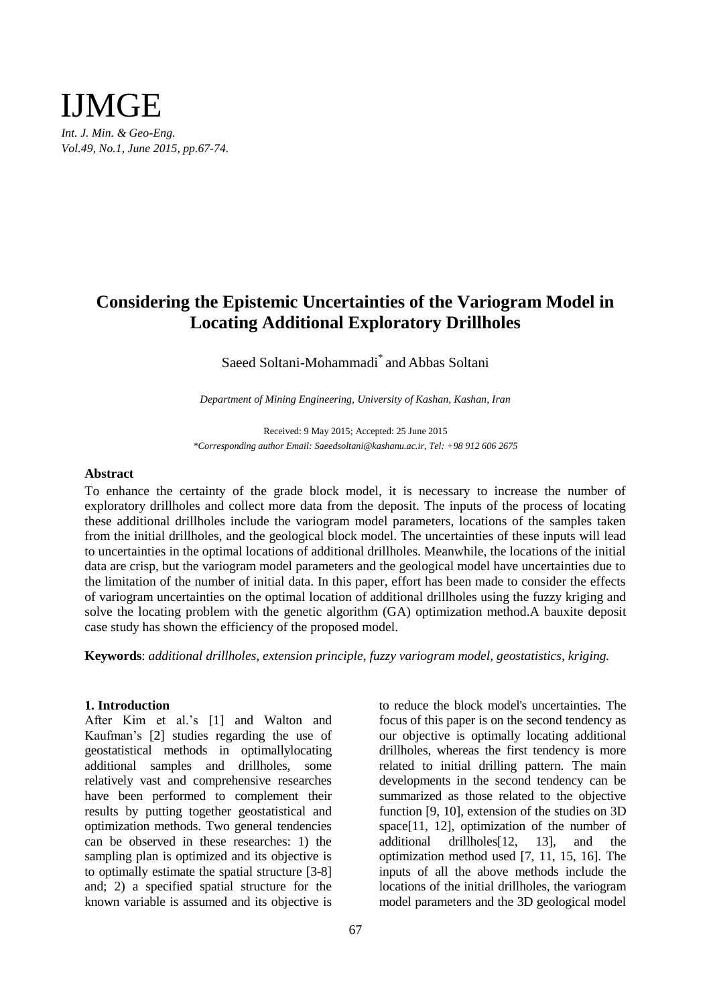

# **Considering the Epistemic Uncertainties of the Variogram Model in Locating Additional Exploratory Drillholes**

Saeed Soltani-Mohammadi\* and Abbas Soltani

*Department of Mining Engineering, University of Kashan, Kashan, Iran*

Received: 9 May 2015; Accepted: 25 June 2015 *\*Corresponding author Email: Saeedsoltani@kashanu.ac.ir, Tel: +98 912 606 2675*

#### **Abstract**

To enhance the certainty of the grade block model, it is necessary to increase the number of exploratory drillholes and collect more data from the deposit. The inputs of the process of locating these additional drillholes include the variogram model parameters, locations of the samples taken from the initial drillholes, and the geological block model. The uncertainties of these inputs will lead to uncertainties in the optimal locations of additional drillholes. Meanwhile, the locations of the initial data are crisp, but the variogram model parameters and the geological model have uncertainties due to the limitation of the number of initial data. In this paper, effort has been made to consider the effects of variogram uncertainties on the optimal location of additional drillholes using the fuzzy kriging and solve the locating problem with the genetic algorithm (GA) optimization method.A bauxite deposit case study has shown the efficiency of the proposed model.

**Keywords**: *additional drillholes, extension principle, fuzzy variogram model, geostatistics, kriging.*

# **1. Introduction**

After Kim et al.'s [1] and Walton and Kaufman's [2] studies regarding the use of geostatistical methods in optimallylocating additional samples and drillholes, some relatively vast and comprehensive researches have been performed to complement their results by putting together geostatistical and optimization methods. Two general tendencies can be observed in these researches: 1) the sampling plan is optimized and its objective is to optimally estimate the spatial structure [3-8] and; 2) a specified spatial structure for the known variable is assumed and its objective is to reduce the block model's uncertainties. The focus of this paper is on the second tendency as our objective is optimally locating additional drillholes, whereas the first tendency is more related to initial drilling pattern. The main developments in the second tendency can be summarized as those related to the objective function [9, 10], extension of the studies on 3D space[11, 12], optimization of the number of additional drillholes[12, 13], and the optimization method used [7, 11, 15, 16]. The inputs of all the above methods include the locations of the initial drillholes, the variogram model parameters and the 3D geological model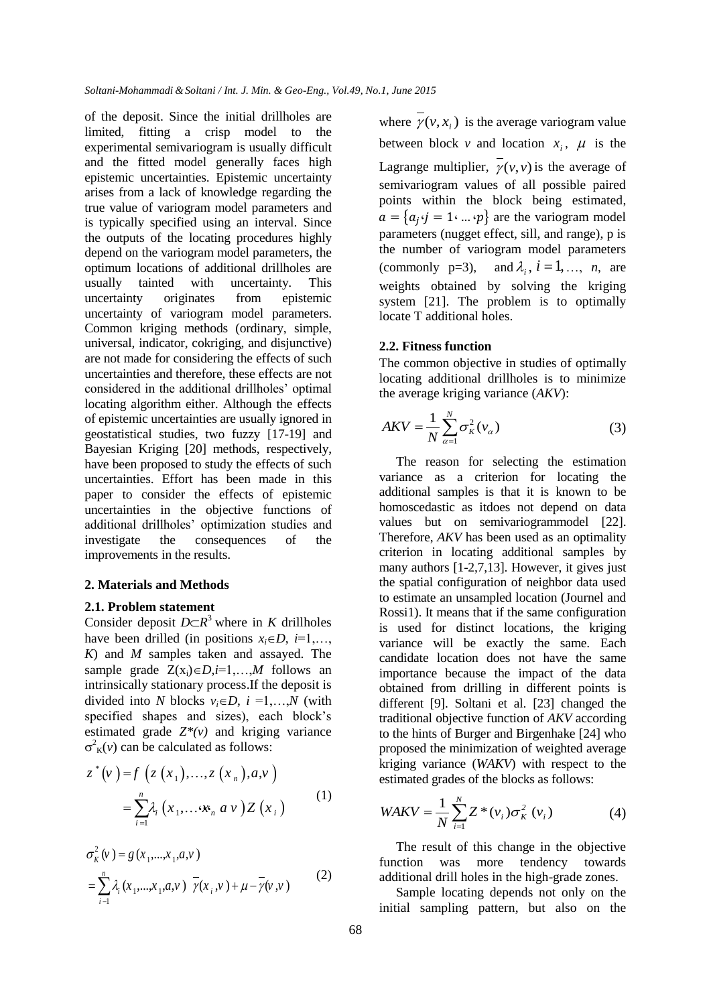of the deposit. Since the initial drillholes are limited, fitting a crisp model to the experimental semivariogram is usually difficult and the fitted model generally faces high epistemic uncertainties. Epistemic uncertainty arises from a lack of knowledge regarding the true value of variogram model parameters and is typically specified using an interval. Since the outputs of the locating procedures highly depend on the variogram model parameters, the optimum locations of additional drillholes are usually tainted with uncertainty. This uncertainty originates from epistemic uncertainty of variogram model parameters. Common kriging methods (ordinary, simple, universal, indicator, cokriging, and disjunctive) are not made for considering the effects of such uncertainties and therefore, these effects are not considered in the additional drillholes' optimal locating algorithm either. Although the effects of epistemic uncertainties are usually ignored in geostatistical studies, two fuzzy [17-19] and Bayesian Kriging [20] methods, respectively, have been proposed to study the effects of such uncertainties. Effort has been made in this paper to consider the effects of epistemic uncertainties in the objective functions of additional drillholes' optimization studies and investigate the consequences of the improvements in the results.

## **2. Materials and Methods**

# **2.1. Problem statement**

Consider deposit  $D \subset \mathbb{R}^3$  where in *K* drillholes have been drilled (in positions  $x_i \in D$ ,  $i=1,...,$ *K*) and *M* samples taken and assayed. The sample grade  $Z(x_i) \in D_i = 1,...,M$  follows an intrinsically stationary process.If the deposit is divided into *N* blocks  $v_i \in D$ ,  $i = 1,...,N$  (with specified shapes and sizes), each block's estimated grade  $Z^*(v)$  and kriging variance  $\sigma^2$ <sub>K</sub>(*v*) can be calculated as follows:

$$
z^{*}(v) = f(z(x_{1}),...,z(x_{n}),a,v)
$$
  
= 
$$
\sum_{i=1}^{n} \lambda_{i}(x_{1},...,\mathbf{x}_{n},a,v) Z(x_{i})
$$
 (1)

$$
\sigma_{K}^{2}(v) = g(x_{1},...,x_{1},a,v)
$$
  
= 
$$
\sum_{i=1}^{n} \lambda_{i}(x_{1},...,x_{1},a,v) \overline{\gamma}(x_{i},v) + \mu - \overline{\gamma}(v,v)
$$
 (2)

where  $\gamma(v, x_i)$  is the average variogram value between block *v* and location  $x_i$ ,  $\mu$  is the Lagrange multiplier,  $\gamma(v, v)$  is the average of semivariogram values of all possible paired points within the block being estimated,  $a = \{a_j \cdot j = 1 \cdot ... \cdot p\}$  are the variogram model parameters (nugget effect, sill, and range), p is the number of variogram model parameters (commonly  $p=3$ ),  $\lambda_i$ ,  $i = 1, \ldots, n$ , are weights obtained by solving the kriging system [21]. The problem is to optimally locate T additional holes.

# **2.2. Fitness function**

The common objective in studies of optimally locating additional drillholes is to minimize the average kriging variance (*AKV*):

$$
AKV = \frac{1}{N} \sum_{\alpha=1}^{N} \sigma_K^2(v_\alpha)
$$
 (3)

The reason for selecting the estimation variance as a criterion for locating the additional samples is that it is known to be homoscedastic as itdoes not depend on data values but on semivariogrammodel [22]. Therefore, *AKV* has been used as an optimality criterion in locating additional samples by many authors [1-2,7,13]. However, it gives just the spatial configuration of neighbor data used to estimate an unsampled location (Journel and Rossi1). It means that if the same configuration is used for distinct locations, the kriging variance will be exactly the same. Each candidate location does not have the same importance because the impact of the data obtained from drilling in different points is different [9]. Soltani et al. [23] changed the traditional objective function of *AKV* according to the hints of Burger and Birgenhake [24] who proposed the minimization of weighted average kriging variance (*WAKV*) with respect to the estimated grades of the blocks as follows:

$$
WAKV = \frac{1}{N} \sum_{i=1}^{N} Z^*(v_i) \sigma_K^2(v_i)
$$
 (4)

The result of this change in the objective function was more tendency towards additional drill holes in the high-grade zones.

Sample locating depends not only on the initial sampling pattern, but also on the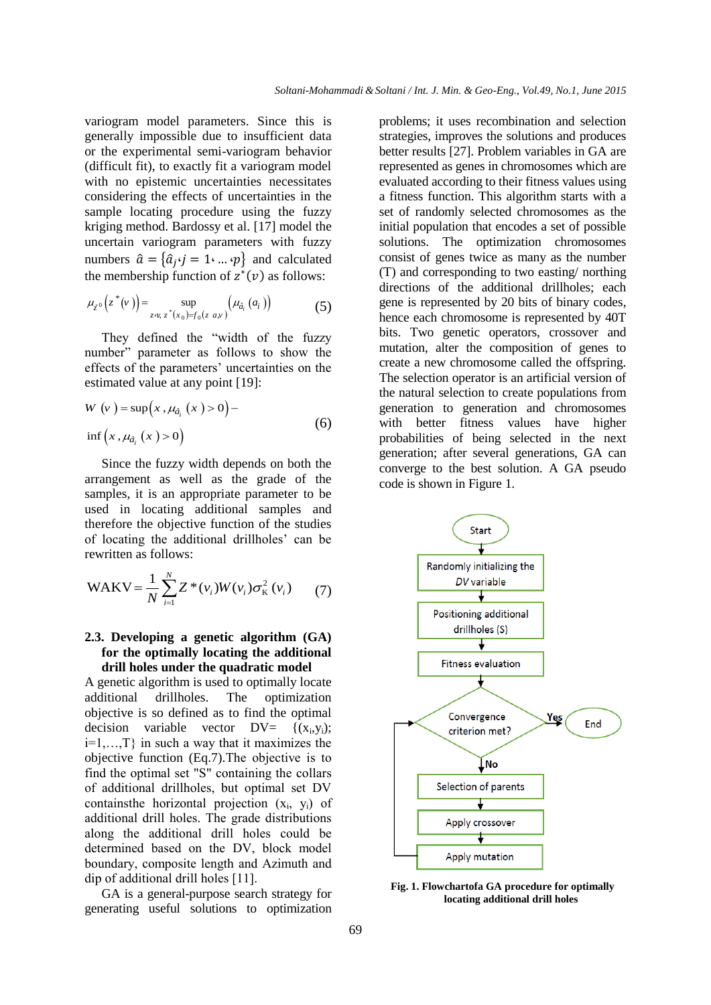variogram model parameters. Since this is generally impossible due to insufficient data or the experimental semi-variogram behavior (difficult fit), to exactly fit a variogram model with no epistemic uncertainties necessitates considering the effects of uncertainties in the sample locating procedure using the fuzzy kriging method. Bardossy et al. [17] model the uncertain variogram parameters with fuzzy numbers  $\hat{a} = \{\hat{a}_j \cdot j = 1 \cdot ... \cdot p\}$  and calculated the membership function of  $z^*(v)$  as follows:

$$
\mu_{z^0}\left(z^*(v)\right) = \sup_{z \cdot v, \ z^*(x_0) = f_0(z \ a,v)} \left(\mu_{\hat{a}_i}\left(a_i\right)\right) \tag{5}
$$

They defined the "width of the fuzzy number" parameter as follows to show the effects of the parameters' uncertainties on the estimated value at any point [19]:

$$
W (v) = \sup (x, \mu_{\hat{a}_i} (x) > 0) -
$$
  
inf  $(x, \mu_{\hat{a}_i} (x) > 0)$  (6)

Since the fuzzy width depends on both the arrangement as well as the grade of the samples, it is an appropriate parameter to be used in locating additional samples and therefore the objective function of the studies of locating the additional drillholes' can be rewritten as follows:

$$
WAKV = \frac{1}{N} \sum_{i=1}^{N} Z^*(v_i) W(v_i) \sigma_K^2(v_i)
$$
 (7)

# **2.3. Developing a genetic algorithm (GA) for the optimally locating the additional drill holes under the quadratic model**

A genetic algorithm is used to optimally locate additional drillholes. The optimization objective is so defined as to find the optimal  $decision$  variable vector  $DV=$  $\{(x_i, y_i)\}$ ;  $i=1,...,T$  in such a way that it maximizes the objective function (Eq.7).The objective is to find the optimal set "S" containing the collars of additional drillholes, but optimal set DV contains the horizontal projection  $(x_i, y_i)$  of additional drill holes. The grade distributions along the additional drill holes could be determined based on the DV, block model boundary, composite length and Azimuth and dip of additional drill holes [11].

GA is a general-purpose search strategy for generating useful solutions to optimization problems; it uses recombination and selection strategies, improves the solutions and produces better results [27]. Problem variables in GA are represented as genes in chromosomes which are evaluated according to their fitness values using a fitness function. This algorithm starts with a set of randomly selected chromosomes as the initial population that encodes a set of possible solutions. The optimization chromosomes consist of genes twice as many as the number (T) and corresponding to two easting/ northing directions of the additional drillholes; each gene is represented by 20 bits of binary codes, hence each chromosome is represented by 40T bits. Two genetic operators, crossover and mutation, alter the composition of genes to create a new chromosome called the offspring. The selection operator is an artificial version of the natural selection to create populations from generation to generation and chromosomes with better fitness values have higher probabilities of being selected in the next generation; after several generations, GA can converge to the best solution. A GA pseudo code is shown in Figure 1.



**Fig. 1. Flowchartofa GA procedure for optimally locating additional drill holes**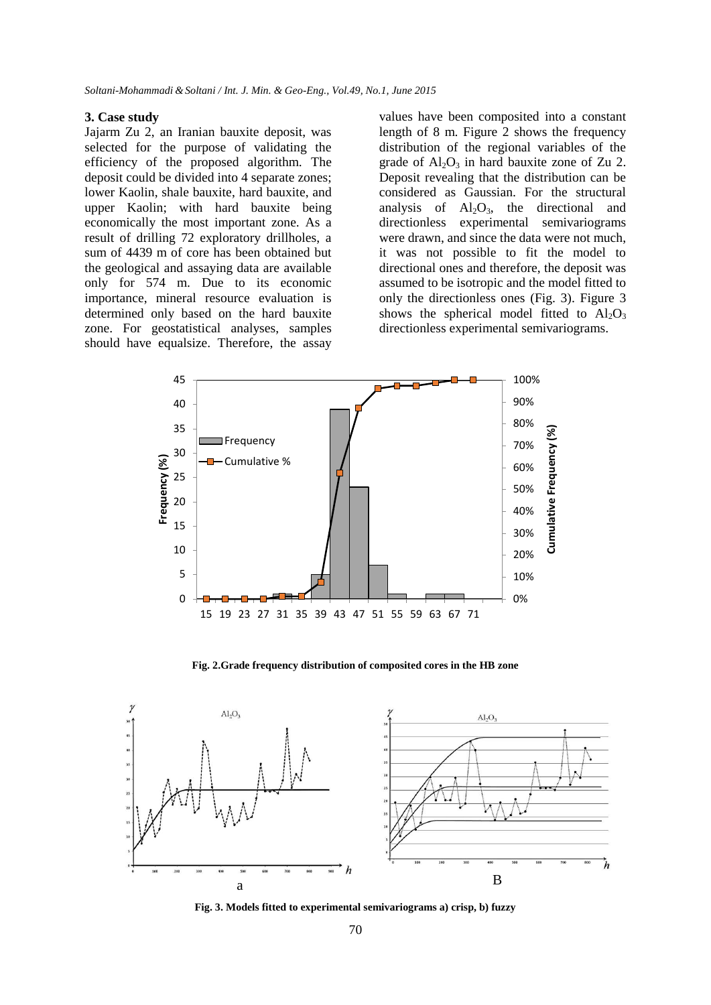#### **3. Case study**

Jajarm Zu 2, an Iranian bauxite deposit, was selected for the purpose of validating the efficiency of the proposed algorithm. The deposit could be divided into 4 separate zones; lower Kaolin, shale bauxite, hard bauxite, and upper Kaolin; with hard bauxite being economically the most important zone. As a result of drilling 72 exploratory drillholes, a sum of 4439 m of core has been obtained but the geological and assaying data are available only for 574 m. Due to its economic importance, mineral resource evaluation is determined only based on the hard bauxite zone. For geostatistical analyses, samples should have equalsize. Therefore, the assay values have been composited into a constant length of 8 m. Figure 2 shows the frequency distribution of the regional variables of the grade of  $Al_2O_3$  in hard bauxite zone of Zu 2. Deposit revealing that the distribution can be considered as Gaussian. For the structural analysis of  $Al_2O_3$ , the directional and directionless experimental semivariograms were drawn, and since the data were not much, it was not possible to fit the model to directional ones and therefore, the deposit was assumed to be isotropic and the model fitted to only the directionless ones (Fig. 3). Figure 3 shows the spherical model fitted to  $Al_2O_3$ directionless experimental semivariograms.



**Fig. 2.Grade frequency distribution of composited cores in the HB zone** 



**Fig. 3. Models fitted to experimental semivariograms a) crisp, b) fuzzy**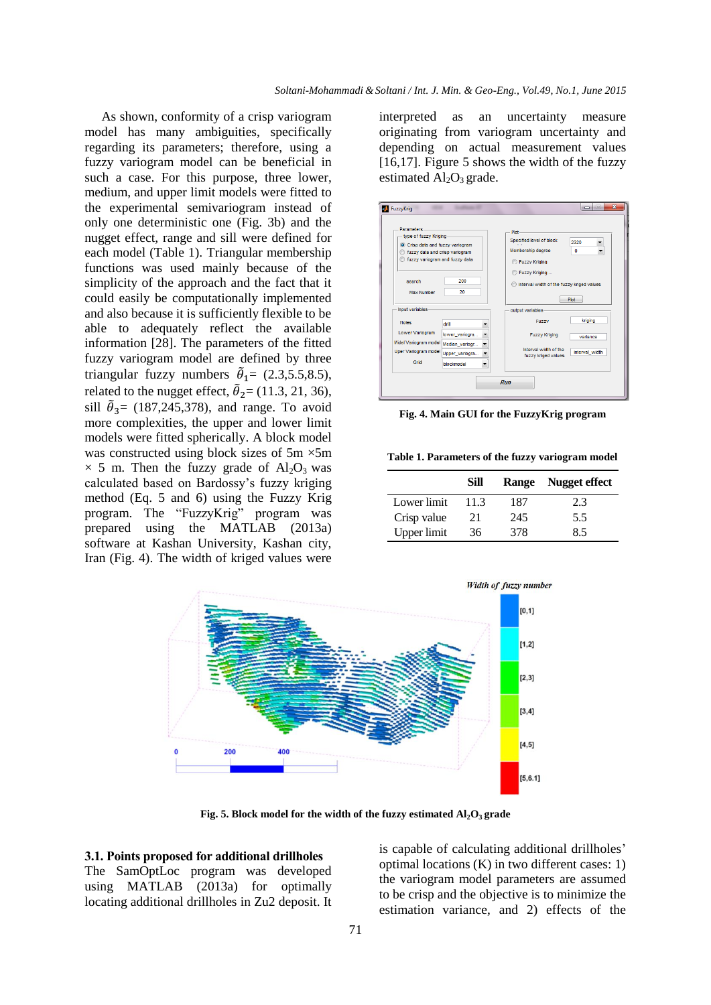As shown, conformity of a crisp variogram model has many ambiguities, specifically regarding its parameters; therefore, using a fuzzy variogram model can be beneficial in such a case. For this purpose, three lower, medium, and upper limit models were fitted to the experimental semivariogram instead of only one deterministic one (Fig. 3b) and the nugget effect, range and sill were defined for each model (Table 1). Triangular membership functions was used mainly because of the simplicity of the approach and the fact that it could easily be computationally implemented and also because it is sufficiently flexible to be able to adequately reflect the available information [28]. The parameters of the fitted fuzzy variogram model are defined by three triangular fuzzy numbers  $\tilde{\theta}_1 = (2.3, 5.5, 8.5),$ related to the nugget effect,  $\tilde{\theta}_2$  = (11.3, 21, 36), sill  $\tilde{\theta}_3$  = (187,245,378), and range. To avoid more complexities, the upper and lower limit models were fitted spherically. A block model was constructed using block sizes of 5m  $\times$ 5m  $\times$  5 m. Then the fuzzy grade of Al<sub>2</sub>O<sub>3</sub> was calculated based on Bardossy's fuzzy kriging method (Eq. 5 and 6) using the Fuzzy Krig program. The "FuzzyKrig" program was prepared using the MATLAB (2013a) software at Kashan University, Kashan city, Iran (Fig. 4). The width of kriged values were

interpreted as an uncertainty measure originating from variogram uncertainty and depending on actual measurement values [16,17]. Figure 5 shows the width of the fuzzy estimated  $Al_2O_3$  grade.



**Fig. 4. Main GUI for the FuzzyKrig program**

**Table 1. Parameters of the fuzzy variogram model**

|             | Sill |     | Range Nugget effect |
|-------------|------|-----|---------------------|
| Lower limit | 11.3 | 187 | 2.3                 |
| Crisp value | 21   | 245 | 5.5                 |
| Upper limit | 36   | 378 | 85                  |



**Fig. 5.** Block model for the width of the fuzzy estimated  $AI_2O_3$  grade

## **3.1. Points proposed for additional drillholes** The SamOptLoc program was developed using MATLAB (2013a) for optimally

locating additional drillholes in Zu2 deposit. It

is capable of calculating additional drillholes' optimal locations (K) in two different cases: 1) the variogram model parameters are assumed to be crisp and the objective is to minimize the estimation variance, and 2) effects of the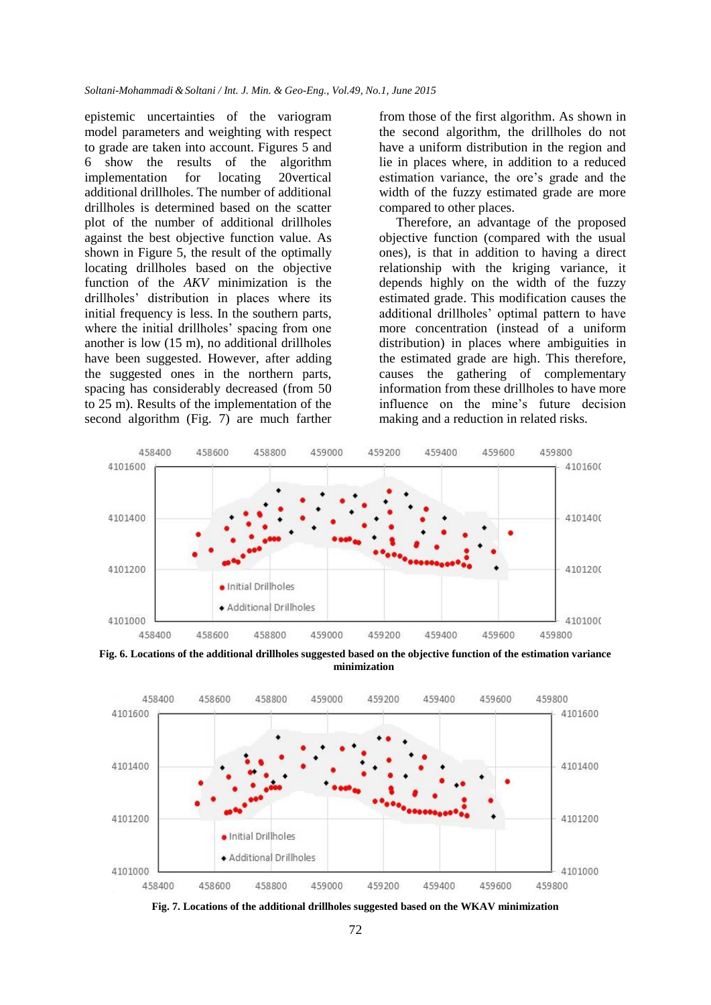epistemic uncertainties of the variogram model parameters and weighting with respect to grade are taken into account. Figures 5 and 6 show the results of the algorithm implementation for locating 20vertical additional drillholes. The number of additional drillholes is determined based on the scatter plot of the number of additional drillholes against the best objective function value. As shown in Figure 5, the result of the optimally locating drillholes based on the objective function of the *AKV* minimization is the drillholes' distribution in places where its initial frequency is less. In the southern parts, where the initial drillholes' spacing from one another is low (15 m), no additional drillholes have been suggested. However, after adding the suggested ones in the northern parts, spacing has considerably decreased (from 50 to 25 m). Results of the implementation of the second algorithm (Fig. 7) are much farther from those of the first algorithm. As shown in the second algorithm, the drillholes do not have a uniform distribution in the region and lie in places where, in addition to a reduced estimation variance, the ore's grade and the width of the fuzzy estimated grade are more compared to other places.

Therefore, an advantage of the proposed objective function (compared with the usual ones), is that in addition to having a direct relationship with the kriging variance, it depends highly on the width of the fuzzy estimated grade. This modification causes the additional drillholes' optimal pattern to have more concentration (instead of a uniform distribution) in places where ambiguities in the estimated grade are high. This therefore, causes the gathering of complementary information from these drillholes to have more influence on the mine's future decision making and a reduction in related risks.



**Fig. 6. Locations of the additional drillholes suggested based on the objective function of the estimation variance minimization**



**Fig. 7. Locations of the additional drillholes suggested based on the WKAV minimization**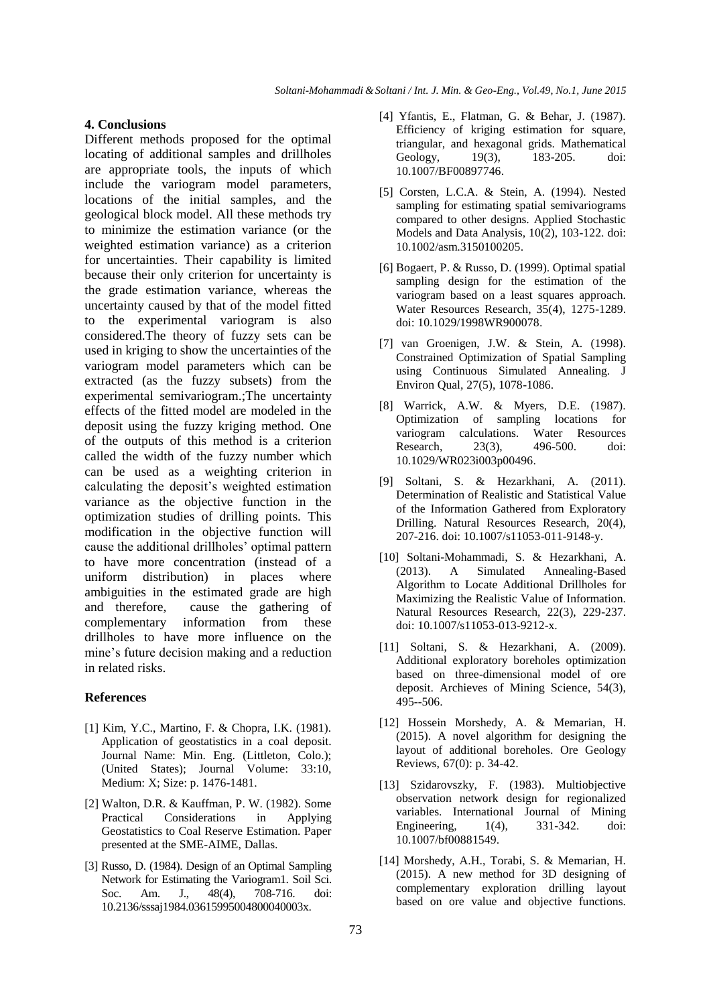# **4. Conclusions**

Different methods proposed for the optimal locating of additional samples and drillholes are appropriate tools, the inputs of which include the variogram model parameters, locations of the initial samples, and the geological block model. All these methods try to minimize the estimation variance (or the weighted estimation variance) as a criterion for uncertainties. Their capability is limited because their only criterion for uncertainty is the grade estimation variance, whereas the uncertainty caused by that of the model fitted to the experimental variogram is also considered.The theory of fuzzy sets can be used in kriging to show the uncertainties of the variogram model parameters which can be extracted (as the fuzzy subsets) from the experimental semivariogram.;The uncertainty effects of the fitted model are modeled in the deposit using the fuzzy kriging method. One of the outputs of this method is a criterion called the width of the fuzzy number which can be used as a weighting criterion in calculating the deposit's weighted estimation variance as the objective function in the optimization studies of drilling points. This modification in the objective function will cause the additional drillholes' optimal pattern to have more concentration (instead of a uniform distribution) in places where ambiguities in the estimated grade are high and therefore, cause the gathering of complementary information from these drillholes to have more influence on the mine's future decision making and a reduction in related risks.

## **References**

- [1] Kim, Y.C., Martino, F. & Chopra, I.K. (1981). Application of geostatistics in a coal deposit. Journal Name: Min. Eng. (Littleton, Colo.); (United States); Journal Volume: 33:10, Medium: X; Size: p. 1476-1481.
- [2] Walton, D.R. & Kauffman, P. W. (1982). Some Practical Considerations in Applying Geostatistics to Coal Reserve Estimation. Paper presented at the SME-AIME, Dallas.
- [3] Russo, D. (1984). Design of an Optimal Sampling Network for Estimating the Variogram1. Soil Sci. Soc. Am. J., 48(4), 708-716. doi: 10.2136/sssaj1984.03615995004800040003x.
- [4] Yfantis, E., Flatman, G. & Behar, J. (1987). Efficiency of kriging estimation for square, triangular, and hexagonal grids. Mathematical Geology, 19(3), 183-205. doi: 10.1007/BF00897746.
- [5] Corsten, L.C.A. & Stein, A. (1994). Nested sampling for estimating spatial semivariograms compared to other designs. Applied Stochastic Models and Data Analysis, 10(2), 103-122. doi: 10.1002/asm.3150100205.
- [6] Bogaert, P. & Russo, D. (1999). Optimal spatial sampling design for the estimation of the variogram based on a least squares approach. Water Resources Research, 35(4), 1275-1289. doi: 10.1029/1998WR900078.
- [7] van Groenigen, J.W. & Stein, A. (1998). Constrained Optimization of Spatial Sampling using Continuous Simulated Annealing. J Environ Qual, 27(5), 1078-1086.
- [8] Warrick, A.W. & Myers, D.E. (1987). Optimization of sampling locations for variogram calculations. Water Resources Research, 23(3), 496-500. doi: 10.1029/WR023i003p00496.
- [9] Soltani, S. & Hezarkhani, A. (2011). Determination of Realistic and Statistical Value of the Information Gathered from Exploratory Drilling. Natural Resources Research, 20(4), 207-216. doi: 10.1007/s11053-011-9148-y.
- [10] Soltani-Mohammadi, S. & Hezarkhani, A. (2013). A Simulated Annealing-Based Algorithm to Locate Additional Drillholes for Maximizing the Realistic Value of Information. Natural Resources Research, 22(3), 229-237. doi: 10.1007/s11053-013-9212-x.
- [11] Soltani, S. & Hezarkhani, A. (2009). Additional exploratory boreholes optimization based on three-dimensional model of ore deposit. Archieves of Mining Science, 54(3), 495--506.
- [12] Hossein Morshedy, A. & Memarian, H. (2015). A novel algorithm for designing the layout of additional boreholes. Ore Geology Reviews, 67(0): p. 34-42.
- [13] Szidarovszky, F. (1983). Multiobjective observation network design for regionalized variables. International Journal of Mining<br>Engineering, 1(4), 331-342. doi: Engineering, 1(4), 331-342. doi: 10.1007/bf00881549.
- [14] Morshedy, A.H., Torabi, S. & Memarian, H. (2015). A new method for 3D designing of complementary exploration drilling layout based on ore value and objective functions.